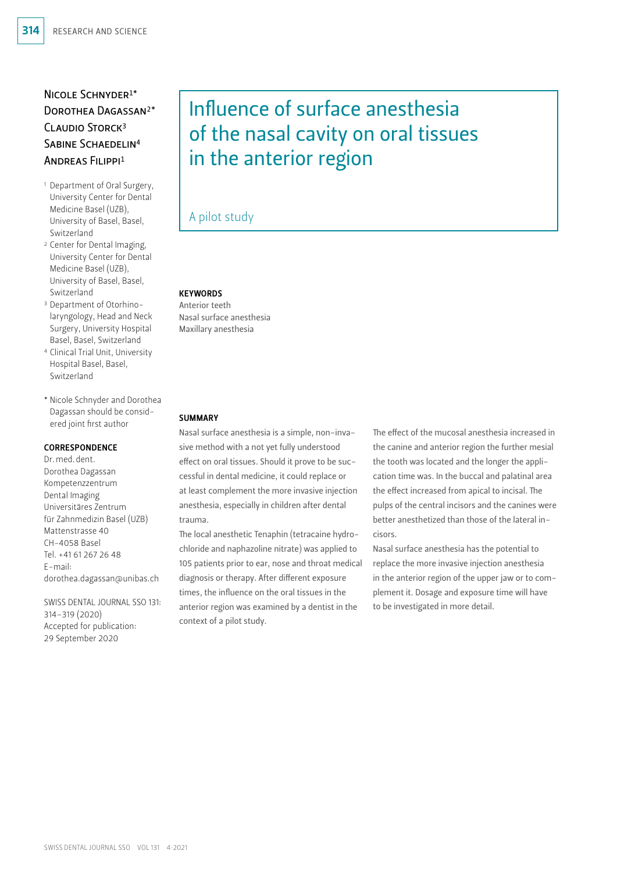# Nicole Schnyder1\* Dorothea Dagassan2\* Claudio Storck3 SABINE SCHAEDELIN<sup>4</sup> Andreas Filippi1

- 1 Department of Oral Surgery, University Center for Dental Medicine Basel (UZB), University of Basel, Basel, Switzerland
- 2 Center for Dental Imaging, University Center for Dental Medicine Basel (UZB), University of Basel, Basel, Switzerland
- 3 Department of Otorhinolaryngology, Head and Neck Surgery, University Hospital Basel, Basel, Switzerland
- 4 Clinical Trial Unit, University Hospital Basel, Basel, Switzerland
- \* Nicole Schnyder and Dorothea Dagassan should be considered joint first author

# **CORRESPONDENCE**

Dr.med.dent. Dorothea Dagassan Kompetenzzentrum Dental Imaging Universitäres Zentrum für Zahnmedizin Basel (UZB) Mattenstrasse 40 CH-4058 Basel Tel. +41 61 267 26 48 E-mail: dorothea.dagassan@unibas.ch

SWISS DENTAL JOURNAL SSO 131: 314–319 (2020) Accepted for publication: 29 September 2020

# Influence of surface anesthesia of the nasal cavity on oral tissues in the anterior region

# A pilot study

# **KEYWORDS**

Anterior teeth Nasal surface anesthesia Maxillary anesthesia

#### SUMMARY

Nasal surface anesthesia is a simple, non-invasive method with a not yet fully understood effect on oral tissues. Should it prove to be successful in dental medicine, it could replace or at least complement the more invasive injection anesthesia, especially in children after dental trauma.

The local anesthetic Tenaphin (tetracaine hydrochloride and naphazoline nitrate) was applied to 105 patients prior to ear, nose and throat medical diagnosis or therapy. After different exposure times, the influence on the oral tissues in the anterior region was examined by a dentist in the context of a pilot study.

The effect of the mucosal anesthesia increased in the canine and anterior region the further mesial the tooth was located and the longer the application time was. In the buccal and palatinal area the effect increased from apical to incisal. The pulps of the central incisors and the canines were better anesthetized than those of the lateral incisors.

Nasal surface anesthesia has the potential to replace the more invasive injection anesthesia in the anterior region of the upper jaw or to complement it. Dosage and exposure time will have to be investigated in more detail.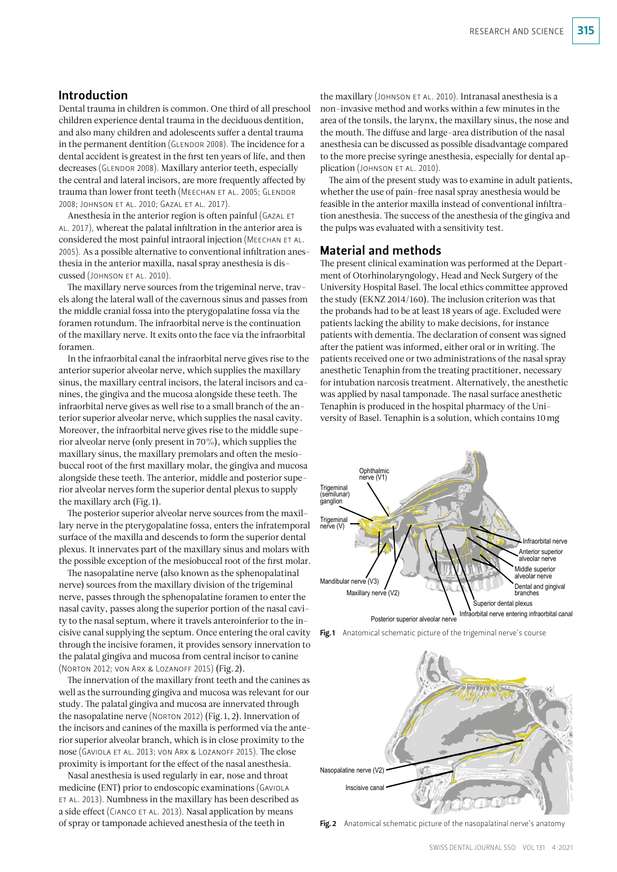# Introduction

Dental trauma in children is common. One third of all preschool children experience dental trauma in the deciduous dentition, and also many children and adolescents suffer a dental trauma in the permanent dentition (Glendor 2008). The incidence for a dental accident is greatest in the first ten years of life, and then decreases (GLENDOR 2008). Maxillary anterior teeth, especially the central and lateral incisors, are more frequently affected by trauma than lower front teeth (MEECHAN ET AL. 2005; GLENDOR 2008; Johnson et al. 2010; Gazal et al. 2017).

Anesthesia in the anterior region is often painful (GAZAL ET al. 2017), whereat the palatal infiltration in the anterior area is considered the most painful intraoral injection (MEECHAN ET AL. 2005). As a possible alternative to conventional infiltration anesthesia in the anterior maxilla, nasal spray anesthesia is discussed (Johnson et al. 2010).

The maxillary nerve sources from the trigeminal nerve, travels along the lateral wall of the cavernous sinus and passes from the middle cranial fossa into the pterygopalatine fossa via the foramen rotundum. The infraorbital nerve is the continuation of the maxillary nerve. It exits onto the face via the infraorbital foramen.

In the infraorbital canal the infraorbital nerve gives rise to the anterior superior alveolar nerve, which supplies the maxillary sinus, the maxillary central incisors, the lateral incisors and canines, the gingiva and the mucosa alongside these teeth. The infraorbital nerve gives as well rise to a small branch of the anterior superior alveolar nerve, which supplies the nasal cavity. Moreover, the infraorbital nerve gives rise to the middle superior alveolar nerve (only present in 70%), which supplies the maxillary sinus, the maxillary premolars and often the mesiobuccal root of the first maxillary molar, the gingiva and mucosa alongside these teeth. The anterior, middle and posterior superior alveolar nerves form the superior dental plexus to supply the maxillary arch (Fig. 1).

The posterior superior alveolar nerve sources from the maxillary nerve in the pterygopalatine fossa, enters the infratemporal surface of the maxilla and descends to form the superior dental plexus. It innervates part of the maxillary sinus and molars with the possible exception of the mesiobuccal root of the first molar.

The nasopalatine nerve (also known as the sphenopalatinal nerve) sources from the maxillary division of the trigeminal nerve, passes through the sphenopalatine foramen to enter the nasal cavity, passes along the superior portion of the nasal cavity to the nasal septum, where it travels anteroinferior to the incisive canal supplying the septum. Once entering the oral cavity through the incisive foramen, it provides sensory innervation to the palatal gingiva and mucosa from central incisor to canine (Norton 2012; von Arx & Lozanoff 2015) (Fig.2).

The innervation of the maxillary front teeth and the canines as well as the surrounding gingiva and mucosa was relevant for our study. The palatal gingiva and mucosa are innervated through the nasopalatine nerve (Norton 2012) (Fig.1, 2). Innervation of the incisors and canines of the maxilla is performed via the anterior superior alveolar branch, which is in close proximity to the nose (Gaviola et al. 2013; von Arx & Lozanoff 2015). The close proximity is important for the effect of the nasal anesthesia.

Nasal anesthesia is used regularly in ear, nose and throat medicine (ENT) prior to endoscopic examinations (Gaviola et al. 2013). Numbness in the maxillary has been described as a side effect (CIANCO ET AL. 2013). Nasal application by means of spray or tamponade achieved anesthesia of the teeth in

the maxillary (JOHNSON ET AL. 2010). Intranasal anesthesia is a non-invasive method and works within a few minutes in the area of the tonsils, the larynx, the maxillary sinus, the nose and the mouth. The diffuse and large-area distribution of the nasal anesthesia can be discussed as possible disadvantage compared to the more precise syringe anesthesia, especially for dental application (JOHNSON ET AL. 2010).

The aim of the present study was to examine in adult patients, whether the use of pain-free nasal spray anesthesia would be feasible in the anterior maxilla instead of conventional infiltration anesthesia. The success of the anesthesia of the gingiva and the pulps was evaluated with a sensitivity test.

# Material and methods

The present clinical examination was performed at the Department of Otorhinolaryngology, Head and Neck Surgery of the University Hospital Basel. The local ethics committee approved the study (EKNZ 2014/160). The inclusion criterion was that the probands had to be at least 18 years of age. Excluded were patients lacking the ability to make decisions, for instance patients with dementia. The declaration of consent was signed after the patient was informed, either oral or in writing. The patients received one or two administrations of the nasal spray anesthetic Tenaphin from the treating practitioner, necessary for intubation narcosis treatment. Alternatively, the anesthetic was applied by nasal tamponade. The nasal surface anesthetic Tenaphin is produced in the hospital pharmacy of the University of Basel. Tenaphin is a solution, which contains 10mg







Fig. 2 Anatomical schematic picture of the nasopalatinal nerve's anatomy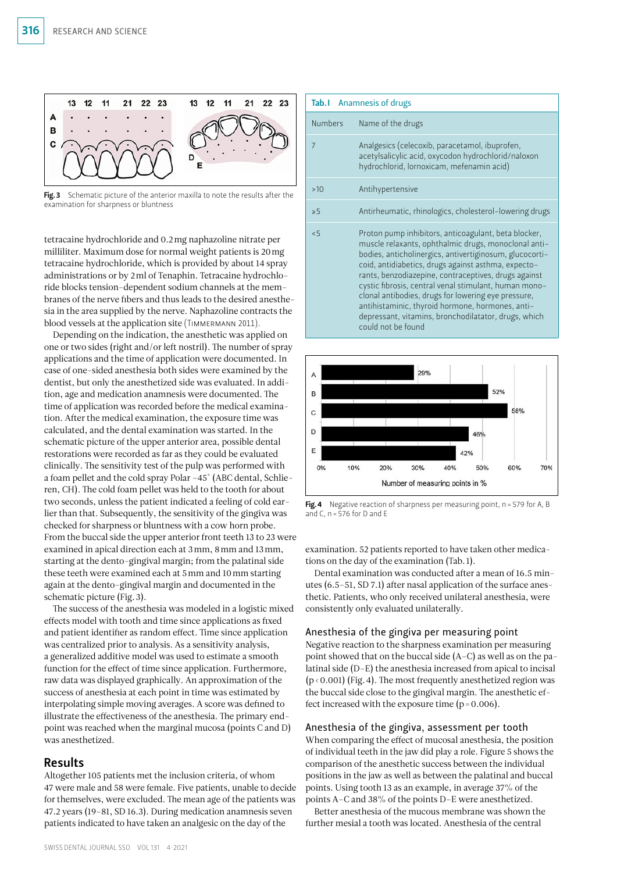

Fig. 3 Schematic picture of the anterior maxilla to note the results after the examination for sharpness or bluntness

tetracaine hydrochloride and 0.2mg naphazoline nitrate per milliliter. Maximum dose for normal weight patients is 20mg tetracaine hydrochloride, which is provided by about 14 spray administrations or by 2ml of Tenaphin. Tetracaine hydrochloride blocks tension-dependent sodium channels at the membranes of the nerve fibers and thus leads to the desired anesthesia in the area supplied by the nerve. Naphazoline contracts the blood vessels at the application site (TIMMERMANN 2011).

Depending on the indication, the anesthetic was applied on one or two sides (right and/or left nostril). The number of spray applications and the time of application were documented. In case of one-sided anesthesia both sides were examined by the dentist, but only the anesthetized side was evaluated. In addition, age and medication anamnesis were documented. The time of application was recorded before the medical examination. After the medical examination, the exposure time was calculated, and the dental examination was started. In the schematic picture of the upper anterior area, possible dental restorations were recorded as far as they could be evaluated clinically. The sensitivity test of the pulp was performed with a foam pellet and the cold spray Polar –45° (ABC dental, Schlieren, CH). The cold foam pellet was held to the tooth for about two seconds, unless the patient indicated a feeling of cold earlier than that. Subsequently, the sensitivity of the gingiva was checked for sharpness or bluntness with a cow horn probe. From the buccal side the upper anterior front teeth 13 to 23 were examined in apical direction each at 3mm, 8mm and 13mm, starting at the dento-gingival margin; from the palatinal side these teeth were examined each at 5mm and 10mm starting again at the dento-gingival margin and documented in the schematic picture (Fig.3).

The success of the anesthesia was modeled in a logistic mixed effects model with tooth and time since applications as fixed and patient identifier as random effect. Time since application was centralized prior to analysis. As a sensitivity analysis, a generalized additive model was used to estimate a smooth function for the effect of time since application. Furthermore, raw data was displayed graphically. An approximation of the success of anesthesia at each point in time was estimated by interpolating simple moving averages. A score was defined to illustrate the effectiveness of the anesthesia. The primary endpoint was reached when the marginal mucosa (points C and D) was anesthetized.

# Results

Altogether 105 patients met the inclusion criteria, of whom 47 were male and 58 were female. Five patients, unable to decide for themselves, were excluded. The mean age of the patients was 47.2 years (19–81, SD 16.3). During medication anamnesis seven patients indicated to have taken an analgesic on the day of the

| Tab. I Anamnesis of drugs |                                                                                                                                                                                                                                                                                                                                                                                                                                                                                                                                          |
|---------------------------|------------------------------------------------------------------------------------------------------------------------------------------------------------------------------------------------------------------------------------------------------------------------------------------------------------------------------------------------------------------------------------------------------------------------------------------------------------------------------------------------------------------------------------------|
| <b>Numbers</b>            | Name of the drugs                                                                                                                                                                                                                                                                                                                                                                                                                                                                                                                        |
| 7                         | Analgesics (celecoxib, paracetamol, ibuprofen,<br>acetylsalicylic acid, oxycodon hydrochlorid/naloxon<br>hydrochlorid, lornoxicam, mefenamin acid)                                                                                                                                                                                                                                                                                                                                                                                       |
| >10                       | Antihypertensive                                                                                                                                                                                                                                                                                                                                                                                                                                                                                                                         |
| > 5                       | Antirheumatic, rhinologics, cholesterol-lowering drugs                                                                                                                                                                                                                                                                                                                                                                                                                                                                                   |
| < 5                       | Proton pump inhibitors, anticoagulant, beta blocker,<br>muscle relaxants, ophthalmic drugs, monoclonal anti-<br>bodies, anticholinergics, antivertiginosum, glucocorti-<br>coid, antidiabetics, drugs against asthma, expecto-<br>rants, benzodiazepine, contraceptives, drugs against<br>cystic fibrosis, central venal stimulant, human mono-<br>clonal antibodies, drugs for lowering eye pressure,<br>antihistaminic, thyroid hormone, hormones, anti-<br>depressant, vitamins, bronchodilatator, drugs, which<br>could not be found |



Fig. 4 Negative reaction of sharpness per measuring point, n = 579 for A, B and C,  $n = 576$  for D and E

examination. 52 patients reported to have taken other medications on the day of the examination (Tab.1).

Dental examination was conducted after a mean of 16.5 minutes (6.5–51, SD 7.1) after nasal application of the surface anesthetic. Patients, who only received unilateral anesthesia, were consistently only evaluated unilaterally.

#### Anesthesia of the gingiva per measuring point

Negative reaction to the sharpness examination per measuring point showed that on the buccal side (A–C) as well as on the palatinal side (D–E) the anesthesia increased from apical to incisal  $(p < 0.001)$  (Fig. 4). The most frequently anesthetized region was the buccal side close to the gingival margin. The anesthetic effect increased with the exposure time  $(p=0.006)$ .

#### Anesthesia of the gingiva, assessment per tooth

When comparing the effect of mucosal anesthesia, the position of individual teeth in the jaw did play a role. Figure 5 shows the comparison of the anesthetic success between the individual positions in the jaw as well as between the palatinal and buccal points. Using tooth 13 as an example, in average 37% of the points A–C and 38% of the points D–E were anesthetized.

Better anesthesia of the mucous membrane was shown the further mesial a tooth was located. Anesthesia of the central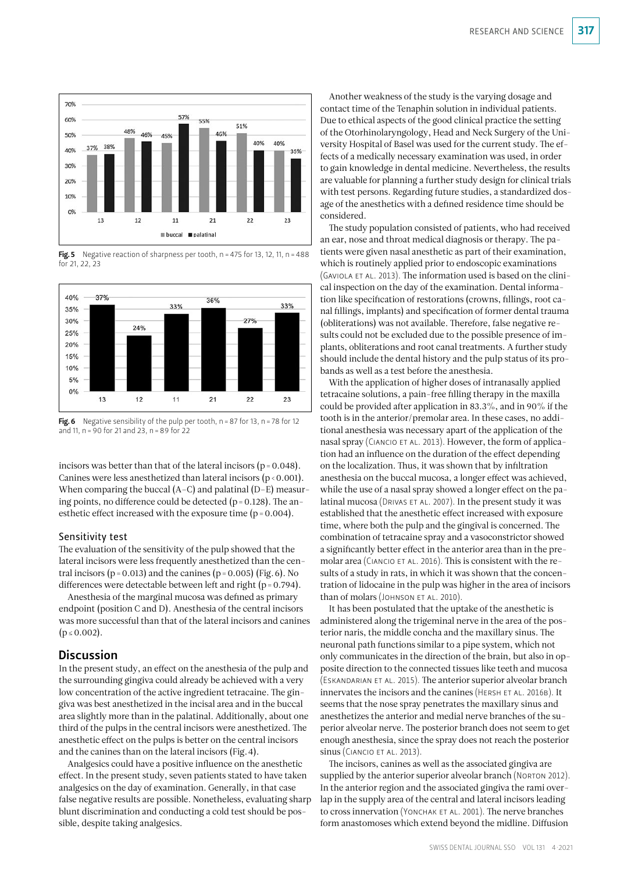

Fig. 5 Negative reaction of sharpness per tooth,  $n = 475$  for 13, 12, 11,  $n = 488$ for 21, 22, 23



Fig. 6 Negative sensibility of the pulp per tooth,  $n = 87$  for 13,  $n = 78$  for 12 and 11, n=90 for 21 and 23, n=89 for 22

incisors was better than that of the lateral incisors ( $p = 0.048$ ). Canines were less anesthetized than lateral incisors  $(p < 0.001)$ . When comparing the buccal (A–C) and palatinal (D–E) measuring points, no difference could be detected ( $p = 0.128$ ). The anesthetic effect increased with the exposure time (p=0.004).

#### Sensitivity test

The evaluation of the sensitivity of the pulp showed that the lateral incisors were less frequently anesthetized than the central incisors ( $p = 0.013$ ) and the canines ( $p = 0.005$ ) (Fig. 6). No differences were detectable between left and right (p=0.794).

Anesthesia of the marginal mucosa was defined as primary endpoint (position C and D). Anesthesia of the central incisors was more successful than that of the lateral incisors and canines  $(p \le 0.002)$ .

# **Discussion**

In the present study, an effect on the anesthesia of the pulp and the surrounding gingiva could already be achieved with a very low concentration of the active ingredient tetracaine. The gingiva was best anesthetized in the incisal area and in the buccal area slightly more than in the palatinal. Additionally, about one third of the pulps in the central incisors were anesthetized. The anesthetic effect on the pulps is better on the central incisors and the canines than on the lateral incisors (Fig.4).

Analgesics could have a positive influence on the anesthetic effect. In the present study, seven patients stated to have taken analgesics on the day of examination. Generally, in that case false negative results are possible. Nonetheless, evaluating sharp blunt discrimination and conducting a cold test should be possible, despite taking analgesics.

Another weakness of the study is the varying dosage and contact time of the Tenaphin solution in individual patients. Due to ethical aspects of the good clinical practice the setting of the Otorhinolaryngology, Head and Neck Surgery of the University Hospital of Basel was used for the current study. The effects of a medically necessary examination was used, in order to gain knowledge in dental medicine. Nevertheless, the results are valuable for planning a further study design for clinical trials with test persons. Regarding future studies, a standardized dosage of the anesthetics with a defined residence time should be considered.

The study population consisted of patients, who had received an ear, nose and throat medical diagnosis or therapy. The patients were given nasal anesthetic as part of their examination, which is routinely applied prior to endoscopic examinations (GAVIOLA ET AL. 2013). The information used is based on the clinical inspection on the day of the examination. Dental information like specification of restorations (crowns, fillings, root canal fillings, implants) and specification of former dental trauma (obliterations) was not available. Therefore, false negative results could not be excluded due to the possible presence of implants, obliterations and root canal treatments. A further study should include the dental history and the pulp status of its probands as well as a test before the anesthesia.

With the application of higher doses of intranasally applied tetracaine solutions, a pain-free filling therapy in the maxilla could be provided after application in 83.3%, and in 90% if the tooth is in the anterior/premolar area. In these cases, no additional anesthesia was necessary apart of the application of the nasal spray (CIANCIO ET AL. 2013). However, the form of application had an influence on the duration of the effect depending on the localization. Thus, it was shown that by infiltration anesthesia on the buccal mucosa, a longer effect was achieved, while the use of a nasal spray showed a longer effect on the palatinal mucosa (DRIVAS ET AL. 2007). In the present study it was established that the anesthetic effect increased with exposure time, where both the pulp and the gingival is concerned. The combination of tetracaine spray and a vasoconstrictor showed a significantly better effect in the anterior area than in the premolar area (CIANCIO ET AL. 2016). This is consistent with the results of a study in rats, in which it was shown that the concentration of lidocaine in the pulp was higher in the area of incisors than of molars (JOHNSON ET AL. 2010).

It has been postulated that the uptake of the anesthetic is administered along the trigeminal nerve in the area of the posterior naris, the middle concha and the maxillary sinus. The neuronal path functions similar to a pipe system, which not only communicates in the direction of the brain, but also in opposite direction to the connected tissues like teeth and mucosa (Eskandarian et al. 2015). The anterior superior alveolar branch innervates the incisors and the canines (HERSH ET AL. 2016B). It seems that the nose spray penetrates the maxillary sinus and anesthetizes the anterior and medial nerve branches of the superior alveolar nerve. The posterior branch does not seem to get enough anesthesia, since the spray does not reach the posterior sinus (CIANCIO ET AL. 2013).

The incisors, canines as well as the associated gingiva are supplied by the anterior superior alveolar branch (Norton 2012). In the anterior region and the associated gingiva the rami overlap in the supply area of the central and lateral incisors leading to cross innervation (YONCHAK ET AL. 2001). The nerve branches form anastomoses which extend beyond the midline. Diffusion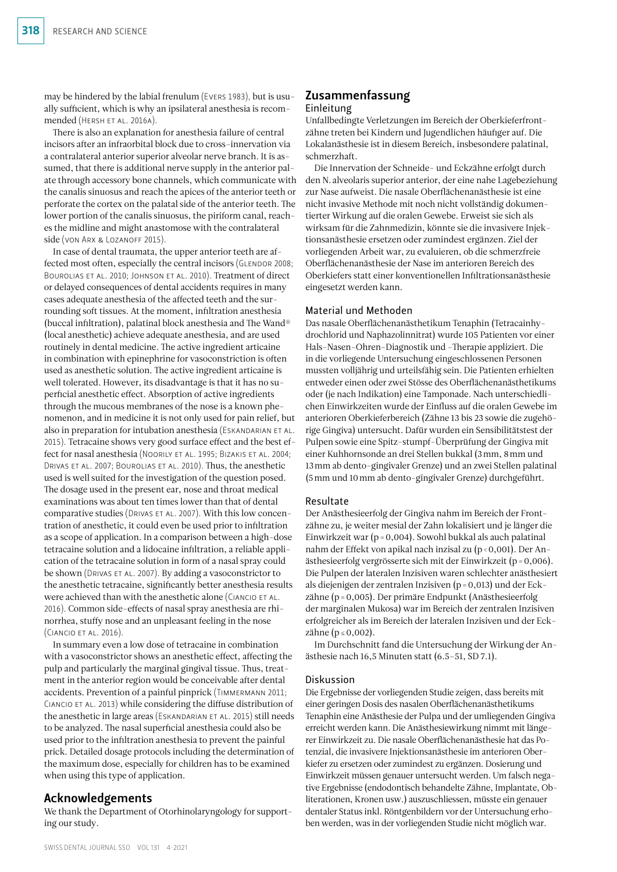may be hindered by the labial frenulum (Evers 1983), but is usually sufficient, which is why an ipsilateral anesthesia is recommended (HERSH ET AL. 2016A).

There is also an explanation for anesthesia failure of central incisors after an infraorbital block due to cross-innervation via a contralateral anterior superior alveolar nerve branch. It is assumed, that there is additional nerve supply in the anterior palate through accessory bone channels, which communicate with the canalis sinuosus and reach the apices of the anterior teeth or perforate the cortex on the palatal side of the anterior teeth. The lower portion of the canalis sinuosus, the piriform canal, reaches the midline and might anastomose with the contralateral side (von Arx & Lozanoff 2015).

In case of dental traumata, the upper anterior teeth are affected most often, especially the central incisors (GLENDOR 2008; Bourolias et al. 2010; Johnson et al. 2010). Treatment of direct or delayed consequences of dental accidents requires in many cases adequate anesthesia of the affected teeth and the surrounding soft tissues. At the moment, infiltration anesthesia (buccal infiltration), palatinal block anesthesia and The Wand® (local anesthetic) achieve adequate anesthesia, and are used routinely in dental medicine. The active ingredient articaine in combination with epinephrine for vasoconstriction is often used as anesthetic solution. The active ingredient articaine is well tolerated. However, its disadvantage is that it has no superficial anesthetic effect. Absorption of active ingredients through the mucous membranes of the nose is a known phenomenon, and in medicine it is not only used for pain relief, but also in preparation for intubation anesthesia (ESKANDARIAN ET AL. 2015). Tetracaine shows very good surface effect and the best effect for nasal anesthesia (Noorily et al. 1995; Bizakis et al. 2004; Drivas et al. 2007; Bourolias et al. 2010). Thus, the anesthetic used is well suited for the investigation of the question posed. The dosage used in the present ear, nose and throat medical examinations was about ten times lower than that of dental comparative studies (Drivas et al. 2007). With this low concentration of anesthetic, it could even be used prior to infiltration as a scope of application. In a comparison between a high-dose tetracaine solution and a lidocaine infiltration, a reliable application of the tetracaine solution in form of a nasal spray could be shown (DRIVAS ET AL. 2007). By adding a vasoconstrictor to the anesthetic tetracaine, significantly better anesthesia results were achieved than with the anesthetic alone (CIANCIO ET AL. 2016). Common side-effects of nasal spray anesthesia are rhinorrhea, stuffy nose and an unpleasant feeling in the nose (Ciancio et al. 2016).

In summary even a low dose of tetracaine in combination with a vasoconstrictor shows an anesthetic effect, affecting the pulp and particularly the marginal gingival tissue. Thus, treatment in the anterior region would be conceivable after dental accidents. Prevention of a painful pinprick (Timmermann 2011; Ciancio et al. 2013) while considering the diffuse distribution of the anesthetic in large areas (ESKANDARIAN ET AL. 2015) still needs to be analyzed. The nasal superficial anesthesia could also be used prior to the infiltration anesthesia to prevent the painful prick. Detailed dosage protocols including the determination of the maximum dose, especially for children has to be examined when using this type of application.

# Acknowledgements

We thank the Department of Otorhinolaryngology for supporting our study.

# Zusammenfassung Einleitung

Unfallbedingte Verletzungen im Bereich der Oberkieferfrontzähne treten bei Kindern und Jugendlichen häufiger auf. Die Lokalanästhesie ist in diesem Bereich, insbesondere palatinal, schmerzhaft.

Die Innervation der Schneide- und Eckzähne erfolgt durch den N.alveolaris superior anterior, der eine nahe Lagebeziehung zur Nase aufweist. Die nasale Oberflächenanästhesie ist eine nicht invasive Methode mit noch nicht vollständig dokumentierter Wirkung auf die oralen Gewebe. Erweist sie sich als wirksam für die Zahnmedizin, könnte sie die invasivere Injektionsanästhesie ersetzen oder zumindest ergänzen. Ziel der vorliegenden Arbeit war, zu evaluieren, ob die schmerzfreie Oberflächenanästhesie der Nase im anterioren Bereich des Oberkiefers statt einer konventionellen Infiltrationsanästhesie eingesetzt werden kann.

#### Material und Methoden

Das nasale Oberflächenanästhetikum Tenaphin (Tetracainhydrochlorid und Naphazolinnitrat) wurde 105 Patienten vor einer Hals-Nasen-Ohren-Diagnostik und -Therapie appliziert. Die in die vorliegende Untersuchung eingeschlossenen Personen mussten volljährig und urteilsfähig sein. Die Patienten erhielten entweder einen oder zwei Stösse des Oberflächenanästhetikums oder (je nach Indikation) eine Tamponade. Nach unterschiedlichen Einwirkzeiten wurde der Einfluss auf die oralen Gewebe im anterioren Oberkieferbereich (Zähne 13 bis 23 sowie die zugehörige Gingiva) untersucht. Dafür wurden ein Sensibilitätstest der Pulpen sowie eine Spitz-stumpf-Überprüfung der Gingiva mit einer Kuhhornsonde an drei Stellen bukkal (3mm, 8mm und 13mm ab dento-gingivaler Grenze) und an zwei Stellen palatinal (5mm und 10mm ab dento-gingivaler Grenze) durchgeführt.

#### Resultate

Der Anästhesieerfolg der Gingiva nahm im Bereich der Frontzähne zu, je weiter mesial der Zahn lokalisiert und je länger die Einwirkzeit war (p=0,004). Sowohl bukkal als auch palatinal nahm der Effekt von apikal nach inzisal zu (p<0,001). Der Anästhesieerfolg vergrösserte sich mit der Einwirkzeit (p=0,006). Die Pulpen der lateralen Inzisiven waren schlechter anästhesiert als diejenigen der zentralen Inzisiven (p=0,013) und der Eckzähne (p=0,005). Der primäre Endpunkt (Anästhesieerfolg der marginalen Mukosa) war im Bereich der zentralen Inzisiven erfolgreicher als im Bereich der lateralen Inzisiven und der Eckzähne ( $p \le 0,002$ ).

Im Durchschnitt fand die Untersuchung der Wirkung der Anästhesie nach 16,5 Minuten statt (6.5–51, SD 7.1).

#### Diskussion

Die Ergebnisse der vorliegenden Studie zeigen, dass bereits mit einer geringen Dosis des nasalen Oberflächenanästhetikums Tenaphin eine Anästhesie der Pulpa und der umliegenden Gingiva erreicht werden kann. Die Anästhesiewirkung nimmt mit längerer Einwirkzeit zu. Die nasale Oberflächenanästhesie hat das Potenzial, die invasivere Injektionsanästhesie im anterioren Oberkiefer zu ersetzen oder zumindest zu ergänzen. Dosierung und Einwirkzeit müssen genauer untersucht werden. Um falsch negative Ergebnisse (endodontisch behandelte Zähne, Implantate, Obliterationen, Kronen usw.) auszuschliessen, müsste ein genauer dentaler Status inkl. Röntgenbildern vor der Untersuchung erhoben werden, was in der vorliegenden Studie nicht möglich war.